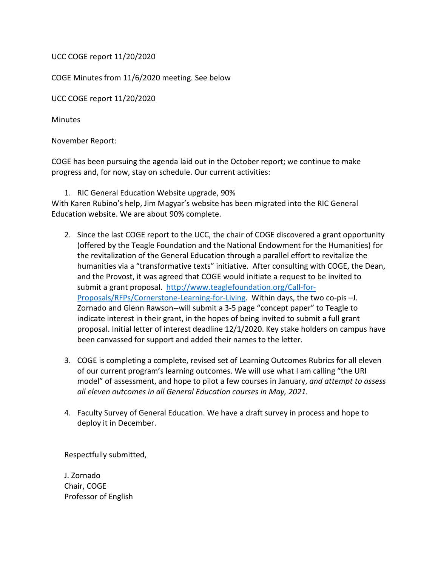UCC COGE report 11/20/2020

COGE Minutes from 11/6/2020 meeting. See below

UCC COGE report 11/20/2020

**Minutes** 

November Report:

COGE has been pursuing the agenda laid out in the October report; we continue to make progress and, for now, stay on schedule. Our current activities:

1. RIC General Education Website upgrade, 90%

With Karen Rubino's help, Jim Magyar's website has been migrated into the RIC General Education website. We are about 90% complete.

- 2. Since the last COGE report to the UCC, the chair of COGE discovered a grant opportunity (offered by the Teagle Foundation and the National Endowment for the Humanities) for the revitalization of the General Education through a parallel effort to revitalize the humanities via a "transformative texts" initiative. After consulting with COGE, the Dean, and the Provost, it was agreed that COGE would initiate a request to be invited to submit a grant proposal. [http://www.teaglefoundation.org/Call-for-](http://www.teaglefoundation.org/Call-for-Proposals/RFPs/Cornerstone-Learning-for-Living)[Proposals/RFPs/Cornerstone-Learning-for-Living.](http://www.teaglefoundation.org/Call-for-Proposals/RFPs/Cornerstone-Learning-for-Living) Within days, the two co-pis –J. Zornado and Glenn Rawson--will submit a 3-5 page "concept paper" to Teagle to indicate interest in their grant, in the hopes of being invited to submit a full grant proposal. Initial letter of interest deadline 12/1/2020. Key stake holders on campus have been canvassed for support and added their names to the letter.
- 3. COGE is completing a complete, revised set of Learning Outcomes Rubrics for all eleven of our current program's learning outcomes. We will use what I am calling "the URI model" of assessment, and hope to pilot a few courses in January, *and attempt to assess all eleven outcomes in all General Education courses in May, 2021.*
- 4. Faculty Survey of General Education. We have a draft survey in process and hope to deploy it in December.

Respectfully submitted,

J. Zornado Chair, COGE Professor of English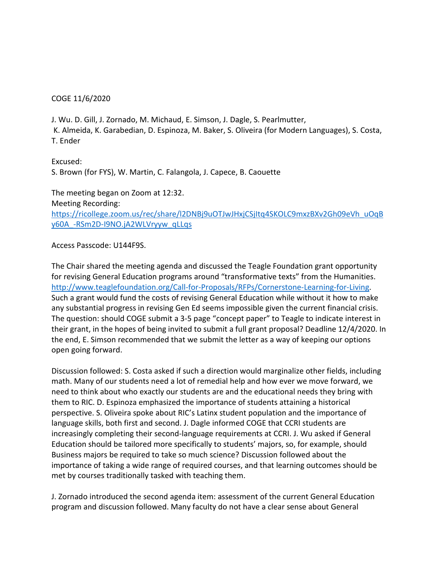## COGE 11/6/2020

J. Wu. D. Gill, J. Zornado, M. Michaud, E. Simson, J. Dagle, S. Pearlmutter, K. Almeida, K. Garabedian, D. Espinoza, M. Baker, S. Oliveira (for Modern Languages), S. Costa, T. Ender

Excused: S. Brown (for FYS), W. Martin, C. Falangola, J. Capece, B. Caouette

The meeting began on Zoom at 12:32. Meeting Recording: [https://ricollege.zoom.us/rec/share/l2DNBj9uOTJwJHxjCSjItq4SKOLC9mxzBXv2Gh09eVh\\_uOqB](https://ricollege.zoom.us/rec/share/l2DNBj9uOTJwJHxjCSjItq4SKOLC9mxzBXv2Gh09eVh_uOqBy60A_-RSm2D-I9NO.jA2WLVryyw_qLLqs) [y60A\\_-RSm2D-I9NO.jA2WLVryyw\\_qLLqs](https://ricollege.zoom.us/rec/share/l2DNBj9uOTJwJHxjCSjItq4SKOLC9mxzBXv2Gh09eVh_uOqBy60A_-RSm2D-I9NO.jA2WLVryyw_qLLqs)

Access Passcode: U144F9S.

The Chair shared the meeting agenda and discussed the Teagle Foundation grant opportunity for revising General Education programs around "transformative texts" from the Humanities. [http://www.teaglefoundation.org/Call-for-Proposals/RFPs/Cornerstone-Learning-for-Living.](http://www.teaglefoundation.org/Call-for-Proposals/RFPs/Cornerstone-Learning-for-Living) Such a grant would fund the costs of revising General Education while without it how to make any substantial progress in revising Gen Ed seems impossible given the current financial crisis. The question: should COGE submit a 3-5 page "concept paper" to Teagle to indicate interest in their grant, in the hopes of being invited to submit a full grant proposal? Deadline 12/4/2020. In the end, E. Simson recommended that we submit the letter as a way of keeping our options open going forward.

Discussion followed: S. Costa asked if such a direction would marginalize other fields, including math. Many of our students need a lot of remedial help and how ever we move forward, we need to think about who exactly our students are and the educational needs they bring with them to RIC. D. Espinoza emphasized the importance of students attaining a historical perspective. S. Oliveira spoke about RIC's Latinx student population and the importance of language skills, both first and second. J. Dagle informed COGE that CCRI students are increasingly completing their second-language requirements at CCRI. J. Wu asked if General Education should be tailored more specifically to students' majors, so, for example, should Business majors be required to take so much science? Discussion followed about the importance of taking a wide range of required courses, and that learning outcomes should be met by courses traditionally tasked with teaching them.

J. Zornado introduced the second agenda item: assessment of the current General Education program and discussion followed. Many faculty do not have a clear sense about General